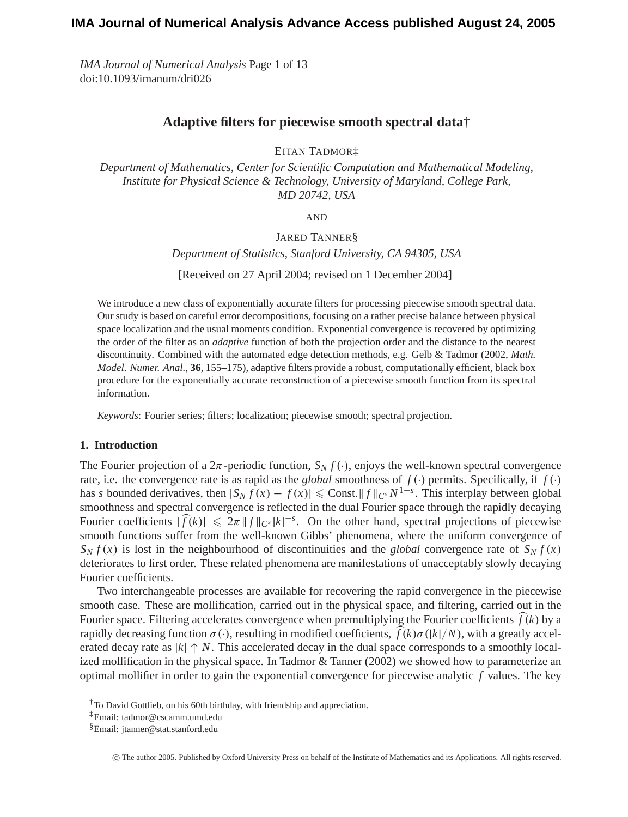*IMA Journal of Numerical Analysis* Page 1 of 13 doi:10.1093/imanum/dri026

# **Adaptive filters for piecewise smooth spectral data**†

EITAN TADMOR‡

*Department of Mathematics, Center for Scientific Computation and Mathematical Modeling, Institute for Physical Science & Technology, University of Maryland, College Park, MD 20742, USA*

AND

JARED TANNER§

*Department of Statistics, Stanford University, CA 94305, USA*

[Received on 27 April 2004; revised on 1 December 2004]

We introduce a new class of exponentially accurate filters for processing piecewise smooth spectral data. Our study is based on careful error decompositions, focusing on a rather precise balance between physical space localization and the usual moments condition. Exponential convergence is recovered by optimizing the order of the filter as an *adaptive* function of both the projection order and the distance to the nearest discontinuity. Combined with the automated edge detection methods, e.g. Gelb & Tadmor (2002, *Math. Model. Numer. Anal.*, **36**, 155–175), adaptive filters provide a robust, computationally efficient, black box procedure for the exponentially accurate reconstruction of a piecewise smooth function from its spectral information.

*Keywords*: Fourier series; filters; localization; piecewise smooth; spectral projection.

# **1. Introduction**

The Fourier projection of a  $2\pi$ -periodic function,  $S_N f(\cdot)$ , enjoys the well-known spectral convergence rate, i.e. the convergence rate is as rapid as the *global* smoothness of  $f(\cdot)$  permits. Specifically, if  $f(\cdot)$ has *s* bounded derivatives, then  $|S_N f(x) - f(x)| \leq C$  const.  $||f||_{C^s} N^{1-s}$ . This interplay between global smoothness and spectral convergence is reflected in the dual Fourier space through the rapidly decaying Fourier coefficients  $|\widehat{f}(k)| \leq 2\pi |f||_{C^{s}}|k|^{-s}$ . On the other hand, spectral projections of piecewise smooth functions suffer from the well-known Gibbs' phenomena, where the uniform convergence of  $S_N f(x)$  is lost in the neighbourhood of discontinuities and the *global* convergence rate of  $S_N f(x)$ deteriorates to first order. These related phenomena are manifestations of unacceptably slowly decaying Fourier coefficients.

Two interchangeable processes are available for recovering the rapid convergence in the piecewise smooth case. These are mollification, carried out in the physical space, and filtering, carried out in the Fourier space. Filtering accelerates convergence when premultiplying the Fourier coefficients  $\widehat{f}(k)$  by a rapidly decreasing function  $\sigma(\cdot)$ , resulting in modified coefficients,  $\hat{f}(k)\sigma(|k|/N)$ , with a greatly accelerated decay rate as  $|k| \uparrow N$ . This accelerated decay in the dual space corresponds to a smoothly localized mollification in the physical space. In Tadmor & Tanner (2002) we showed how to parameterize an optimal mollifier in order to gain the exponential convergence for piecewise analytic *f* values. The key

c The author 2005. Published by Oxford University Press on behalf of the Institute of Mathematics and its Applications. All rights reserved.

<sup>†</sup>To David Gottlieb, on his 60th birthday, with friendship and appreciation.

<sup>‡</sup>Email: tadmor@cscamm.umd.edu

<sup>§</sup>Email: jtanner@stat.stanford.edu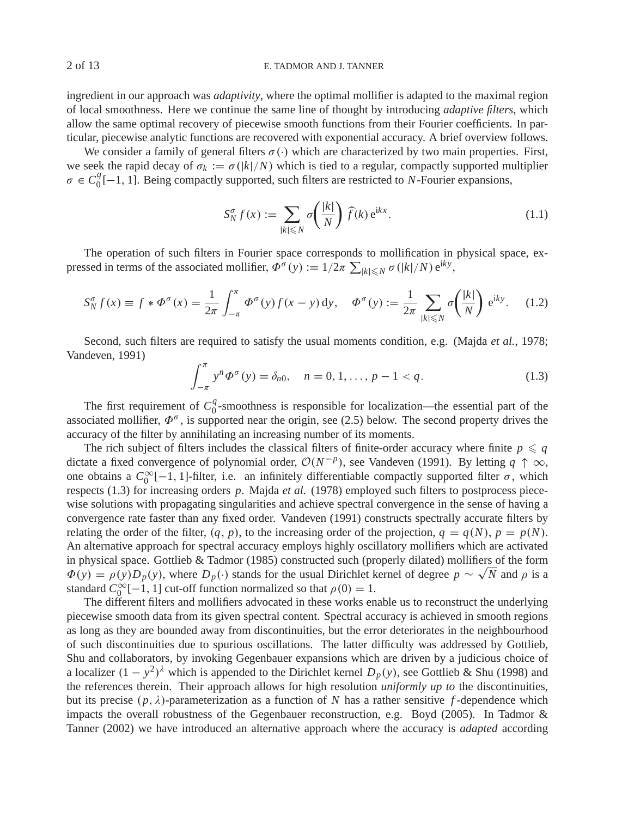# 2 of 13 E. TADMOR AND J. TANNER

ingredient in our approach was *adaptivity*, where the optimal mollifier is adapted to the maximal region of local smoothness. Here we continue the same line of thought by introducing *adaptive filters*, which allow the same optimal recovery of piecewise smooth functions from their Fourier coefficients. In particular, piecewise analytic functions are recovered with exponential accuracy. A brief overview follows.

We consider a family of general filters  $\sigma(\cdot)$  which are characterized by two main properties. First, we seek the rapid decay of  $\sigma_k := \sigma(|k|/N)$  which is tied to a regular, compactly supported multiplier  $\sigma \in C_0^q[-1, 1]$ . Being compactly supported, such filters are restricted to *N*-Fourier expansions,

$$
S_N^{\sigma} f(x) := \sum_{|k| \le N} \sigma\left(\frac{|k|}{N}\right) \widehat{f}(k) e^{ikx}.
$$
 (1.1)

The operation of such filters in Fourier space corresponds to mollification in physical space, expressed in terms of the associated mollifier,  $\Phi^{\sigma}(y) := 1/2\pi \sum_{|k| \le N} \sigma(|k|/N) e^{iky}$ ,

$$
S_N^{\sigma} f(x) \equiv f * \Phi^{\sigma}(x) = \frac{1}{2\pi} \int_{-\pi}^{\pi} \Phi^{\sigma}(y) f(x - y) dy, \quad \Phi^{\sigma}(y) := \frac{1}{2\pi} \sum_{|k| \le N} \sigma\left(\frac{|k|}{N}\right) e^{iky}.
$$
 (1.2)

Second, such filters are required to satisfy the usual moments condition, e.g. (Majda *et al.*, 1978; Vandeven, 1991)

$$
\int_{-\pi}^{\pi} y^n \Phi^{\sigma}(y) = \delta_{n0}, \quad n = 0, 1, ..., p - 1 < q.
$$
 (1.3)

The first requirement of  $C_0^q$ -smoothness is responsible for localization—the essential part of the associated mollifier,  $\Phi^{\sigma}$ , is supported near the origin, see (2.5) below. The second property drives the accuracy of the filter by annihilating an increasing number of its moments.

The rich subject of filters includes the classical filters of finite-order accuracy where finite  $p \leqslant q$ dictate a fixed convergence of polynomial order,  $O(N^{-p})$ , see Vandeven (1991). By letting  $q \uparrow \infty$ , one obtains a  $C_0^{\infty}[-1, 1]$ -filter, i.e. an infinitely differentiable compactly supported filter  $\sigma$ , which respects (1.3) for increasing orders *p*. Majda *et al.* (1978) employed such filters to postprocess piecewise solutions with propagating singularities and achieve spectral convergence in the sense of having a convergence rate faster than any fixed order. Vandeven (1991) constructs spectrally accurate filters by relating the order of the filter,  $(q, p)$ , to the increasing order of the projection,  $q = q(N)$ ,  $p = p(N)$ . An alternative approach for spectral accuracy employs highly oscillatory mollifiers which are activated in physical space. Gottlieb & Tadmor (1985) constructed such (properly dilated) mollifiers of the form  $\Phi(y) = \rho(y)D_p(y)$ , where  $D_p(\cdot)$  stands for the usual Dirichlet kernel of degree  $p \sim \sqrt{N}$  and  $\rho$  is a standard  $C_0^{\infty}[-1, 1]$  cut-off function normalized so that  $\rho(0) = 1$ .

The different filters and mollifiers advocated in these works enable us to reconstruct the underlying piecewise smooth data from its given spectral content. Spectral accuracy is achieved in smooth regions as long as they are bounded away from discontinuities, but the error deteriorates in the neighbourhood of such discontinuities due to spurious oscillations. The latter difficulty was addressed by Gottlieb, Shu and collaborators, by invoking Gegenbauer expansions which are driven by a judicious choice of a localizer  $(1 - y^2)^{\lambda}$  which is appended to the Dirichlet kernel  $D_p(y)$ , see Gottlieb & Shu (1998) and the references therein. Their approach allows for high resolution *uniformly up to* the discontinuities, but its precise  $(p, \lambda)$ -parameterization as a function of N has a rather sensitive f-dependence which impacts the overall robustness of the Gegenbauer reconstruction, e.g. Boyd (2005). In Tadmor & Tanner (2002) we have introduced an alternative approach where the accuracy is *adapted* according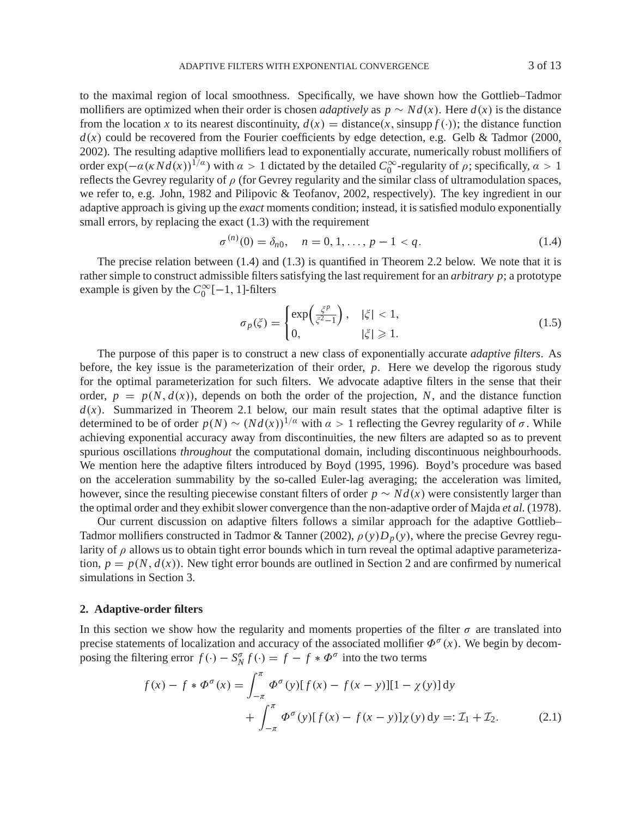to the maximal region of local smoothness. Specifically, we have shown how the Gottlieb–Tadmor mollifiers are optimized when their order is chosen *adaptively* as  $p \sim Nd(x)$ . Here  $d(x)$  is the distance from the location *x* to its nearest discontinuity,  $d(x) = \text{distance}(x, \text{sinsupp } f(\cdot))$ ; the distance function  $d(x)$  could be recovered from the Fourier coefficients by edge detection, e.g. Gelb & Tadmor (2000, 2002). The resulting adaptive mollifiers lead to exponentially accurate, numerically robust mollifiers of order  $\exp(-\alpha(\kappa N d(x)))^{1/\alpha}$ ) with  $\alpha > 1$  dictated by the detailed  $C_0^{\infty}$ -regularity of  $\rho$ ; specifically,  $\alpha > 1$ reflects the Gevrey regularity of  $\rho$  (for Gevrey regularity and the similar class of ultramodulation spaces, we refer to, e.g. John, 1982 and Pilipovic & Teofanov, 2002, respectively). The key ingredient in our adaptive approach is giving up the *exact* moments condition; instead, it is satisfied modulo exponentially small errors, by replacing the exact  $(1.3)$  with the requirement

$$
\sigma^{(n)}(0) = \delta_{n0}, \quad n = 0, 1, \dots, p - 1 < q. \tag{1.4}
$$

The precise relation between (1.4) and (1.3) is quantified in Theorem 2.2 below. We note that it is rather simple to construct admissible filters satisfying the last requirement for an *arbitrary p*; a prototype example is given by the  $C_0^{\infty}[-1, 1]$ -filters

$$
\sigma_p(\xi) = \begin{cases} \exp\left(\frac{\xi^p}{\xi^2 - 1}\right), & |\xi| < 1, \\ 0, & |\xi| \ge 1. \end{cases}
$$
\n(1.5)

The purpose of this paper is to construct a new class of exponentially accurate *adaptive filters*. As before, the key issue is the parameterization of their order, *p*. Here we develop the rigorous study for the optimal parameterization for such filters. We advocate adaptive filters in the sense that their order,  $p = p(N, d(x))$ , depends on both the order of the projection, N, and the distance function  $d(x)$ . Summarized in Theorem 2.1 below, our main result states that the optimal adaptive filter is determined to be of order  $p(N) \sim (Nd(x))^{1/\alpha}$  with  $\alpha > 1$  reflecting the Gevrey regularity of  $\sigma$ . While achieving exponential accuracy away from discontinuities, the new filters are adapted so as to prevent spurious oscillations *throughout* the computational domain, including discontinuous neighbourhoods. We mention here the adaptive filters introduced by Boyd (1995, 1996). Boyd's procedure was based on the acceleration summability by the so-called Euler-lag averaging; the acceleration was limited, however, since the resulting piecewise constant filters of order  $p \sim Nd(x)$  were consistently larger than the optimal order and they exhibit slower convergence than the non-adaptive order of Majda *et al.* (1978).

Our current discussion on adaptive filters follows a similar approach for the adaptive Gottlieb– Tadmor mollifiers constructed in Tadmor & Tanner (2002),  $\rho(y)D_p(y)$ , where the precise Gevrey regularity of  $\rho$  allows us to obtain tight error bounds which in turn reveal the optimal adaptive parameterization,  $p = p(N, d(x))$ . New tight error bounds are outlined in Section 2 and are confirmed by numerical simulations in Section 3.

## **2. Adaptive-order filters**

In this section we show how the regularity and moments properties of the filter  $\sigma$  are translated into precise statements of localization and accuracy of the associated mollifier  $\Phi^{\sigma}(x)$ . We begin by decomposing the filtering error  $f(\cdot) - S_N^{\sigma} f(\cdot) = f - f * \Phi^{\sigma}$  into the two terms

$$
f(x) - f * \Phi^{\sigma}(x) = \int_{-\pi}^{\pi} \Phi^{\sigma}(y)[f(x) - f(x - y)][1 - \chi(y)] dy
$$
  
+ 
$$
\int_{-\pi}^{\pi} \Phi^{\sigma}(y)[f(x) - f(x - y)]\chi(y) dy =: \mathcal{I}_1 + \mathcal{I}_2.
$$
 (2.1)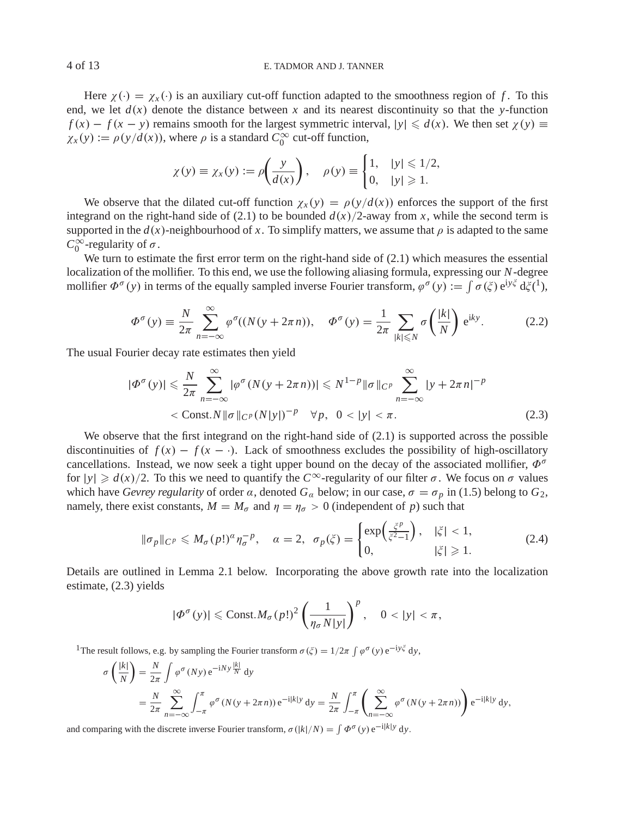## 4 of 13 E. TADMOR AND J. TANNER

Here  $\chi(\cdot) = \chi_{\chi}(\cdot)$  is an auxiliary cut-off function adapted to the smoothness region of f. To this end, we let  $d(x)$  denote the distance between x and its nearest discontinuity so that the *y*-function  $f(x) - f(x - y)$  remains smooth for the largest symmetric interval,  $|y| \le d(x)$ . We then set  $\chi(y) \equiv$  $\chi_x(y) := \rho(y/d(x))$ , where  $\rho$  is a standard  $C_0^{\infty}$  cut-off function,

$$
\chi(y) \equiv \chi_x(y) := \rho\left(\frac{y}{d(x)}\right), \quad \rho(y) \equiv \begin{cases} 1, & |y| \leq 1/2, \\ 0, & |y| \geq 1. \end{cases}
$$

We observe that the dilated cut-off function  $\chi_x(y) = \rho(y/d(x))$  enforces the support of the first integrand on the right-hand side of (2.1) to be bounded  $d(x)/2$ -away from *x*, while the second term is supported in the  $d(x)$ -neighbourhood of x. To simplify matters, we assume that  $\rho$  is adapted to the same  $C_0^{\infty}$ -regularity of  $\sigma$ .

We turn to estimate the first error term on the right-hand side of  $(2.1)$  which measures the essential localization of the mollifier. To this end, we use the following aliasing formula, expressing our *N*-degree mollifier  $\Phi^{\sigma}(y)$  in terms of the equally sampled inverse Fourier transform,  $\varphi^{\sigma}(y) := \int \sigma(\xi) e^{iy\xi} d\xi^{(1)}$ ,

$$
\Phi^{\sigma}(y) \equiv \frac{N}{2\pi} \sum_{n=-\infty}^{\infty} \varphi^{\sigma}((N(y + 2\pi n)), \quad \Phi^{\sigma}(y) = \frac{1}{2\pi} \sum_{|k| \le N} \sigma\left(\frac{|k|}{N}\right) e^{iky}.
$$
 (2.2)

The usual Fourier decay rate estimates then yield

$$
|\Phi^{\sigma}(y)| \leqslant \frac{N}{2\pi} \sum_{n=-\infty}^{\infty} |\varphi^{\sigma}(N(y+2\pi n))| \leqslant N^{1-p} \|\sigma\|_{C^p} \sum_{n=-\infty}^{\infty} |y+2\pi n|^{-p}
$$
  
< 
$$
< \text{Const.} N \|\sigma\|_{C^p} (N|y|)^{-p} \quad \forall p, \quad 0 < |y| < \pi.
$$
 (2.3)

We observe that the first integrand on the right-hand side of  $(2.1)$  is supported across the possible discontinuities of  $f(x) - f(x - \cdot)$ . Lack of smoothness excludes the possibility of high-oscillatory cancellations. Instead, we now seek a tight upper bound on the decay of the associated mollifier,  $\Phi^{\sigma}$ for  $|y| \ge d(x)/2$ . To this we need to quantify the  $C^{\infty}$ -regularity of our filter  $\sigma$ . We focus on  $\sigma$  values which have *Gevrey regularity* of order  $\alpha$ , denoted  $G_{\alpha}$  below; in our case,  $\sigma = \sigma_p$  in (1.5) belong to  $G_2$ , namely, there exist constants,  $M = M_{\sigma}$  and  $\eta = \eta_{\sigma} > 0$  (independent of *p*) such that

$$
\|\sigma_p\|_{C^p} \leqslant M_\sigma(p!)^\alpha \eta_\sigma^{-p}, \quad \alpha = 2, \quad \sigma_p(\xi) = \begin{cases} \exp\left(\frac{\xi^p}{\xi^2 - 1}\right), & |\xi| < 1, \\ 0, & |\xi| \geqslant 1. \end{cases} \tag{2.4}
$$

Details are outlined in Lemma 2.1 below. Incorporating the above growth rate into the localization estimate, (2.3) yields

$$
|\Phi^{\sigma}(y)| \leq \text{Const.} M_{\sigma}(p!)^2 \left(\frac{1}{\eta_{\sigma} N|y|}\right)^p, \quad 0 < |y| < \pi,
$$

<sup>1</sup>The result follows, e.g. by sampling the Fourier transform  $\sigma(\xi) = 1/2\pi \int \varphi^{\sigma}(y) e^{-iy\xi} dy$ ,

$$
\sigma\left(\frac{|k|}{N}\right) = \frac{N}{2\pi} \int \varphi^{\sigma}(Ny) e^{-iNy \frac{|k|}{N}} dy
$$
  
= 
$$
\frac{N}{2\pi} \sum_{n=-\infty}^{\infty} \int_{-\pi}^{\pi} \varphi^{\sigma}(N(y+2\pi n)) e^{-i|k|y} dy = \frac{N}{2\pi} \int_{-\pi}^{\pi} \left(\sum_{n=-\infty}^{\infty} \varphi^{\sigma}(N(y+2\pi n))\right) e^{-i|k|y} dy,
$$

and comparing with the discrete inverse Fourier transform,  $\sigma(|k|/N) = \int \Phi^{\sigma}(y) e^{-i|k|y} dy$ .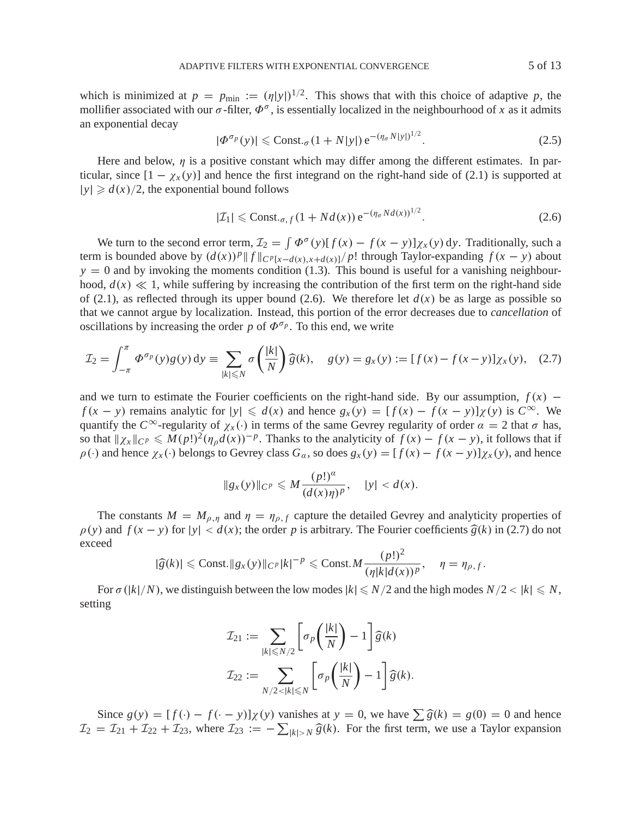which is minimized at  $p = p_{\text{min}} := (q|y|)^{1/2}$ . This shows that with this choice of adaptive p, the mollifier associated with our  $\sigma$ -filter,  $\Phi^{\sigma}$ , is essentially localized in the neighbourhood of *x* as it admits an exponential decay

$$
|\Phi^{\sigma_p}(y)| \leq \text{Const.}_{\sigma} (1 + N|y|) e^{-(\eta_{\sigma} N|y|)^{1/2}}.
$$
 (2.5)

Here and below,  $\eta$  is a positive constant which may differ among the different estimates. In particular, since  $[1 - \chi_x(y)]$  and hence the first integrand on the right-hand side of (2.1) is supported at  $|y| \ge d(x)/2$ , the exponential bound follows

$$
|\mathcal{I}_1| \leqslant \text{Const.}_{\sigma, f} (1 + Nd(x)) e^{-(\eta_{\sigma} Nd(x))^{1/2}}.
$$
 (2.6)

We turn to the second error term,  $\mathcal{I}_2 = \int \Phi^{\sigma}(y)[f(x) - f(x - y)]\chi_x(y) dy$ . Traditionally, such a term is bounded above by  $(d(x))^p ||f||_{C^p[x-d(x),x+d(x)]}/p!$  through Taylor-expanding  $f(x - y)$  about  $y = 0$  and by invoking the moments condition (1.3). This bound is useful for a vanishing neighbourhood,  $d(x) \ll 1$ , while suffering by increasing the contribution of the first term on the right-hand side of (2.1), as reflected through its upper bound (2.6). We therefore let  $d(x)$  be as large as possible so that we cannot argue by localization. Instead, this portion of the error decreases due to *cancellation* of oscillations by increasing the order  $p$  of  $\Phi^{\sigma_p}$ . To this end, we write

$$
\mathcal{I}_2 = \int_{-\pi}^{\pi} \Phi^{\sigma_p}(y) g(y) \, dy \equiv \sum_{|k| \le N} \sigma\left(\frac{|k|}{N}\right) \widehat{g}(k), \quad g(y) = g_x(y) := [f(x) - f(x - y)] \chi_x(y), \quad (2.7)
$$

and we turn to estimate the Fourier coefficients on the right-hand side. By our assumption,  $f(x)$  – *f* (*x* − *y*) remains analytic for  $|y| \le d(x)$  and hence  $g_x(y) = [f(x) - f(x - y)]\chi(y)$  is  $C^\infty$ . We quantify the  $C^{\infty}$ -regularity of  $\chi_x(\cdot)$  in terms of the same Gevrey regularity of order  $\alpha = 2$  that  $\sigma$  has, so that  $\chi_x|_{C^p} \leq M(p!)^2 (\eta_p d(x))^{-p}$ . Thanks to the analyticity of  $f(x) - f(x - y)$ , it follows that if  $\rho(\cdot)$  and hence  $\chi_x(\cdot)$  belongs to Gevrey class  $G_\alpha$ , so does  $g_x(y) = [f(x) - f(x - y)]\chi_x(y)$ , and hence

$$
||g_x(y)||_{C^p} \le M \frac{(p!)^\alpha}{(d(x)\eta)^p}, \quad |y| < d(x).
$$

The constants  $M = M_{\rho, \eta}$  and  $\eta = \eta_{\rho, f}$  capture the detailed Gevrey and analyticity properties of  $\rho(y)$  and  $f(x - y)$  for  $|y| < d(x)$ ; the order *p* is arbitrary. The Fourier coefficients  $\hat{g}(k)$  in (2.7) do not exceed

$$
|\widehat{g}(k)| \leqslant \text{Const.} \|g_x(y)\|_{C^p} |k|^{-p} \leqslant \text{Const.} M \frac{(p!)^2}{(\eta |k|d(x))^p}, \quad \eta = \eta_{\rho,f}.
$$

For  $\sigma(|k|/N)$ , we distinguish between the low modes  $|k| \le N/2$  and the high modes  $N/2 < |k| \le N$ , setting

$$
\mathcal{I}_{21} := \sum_{|k| \leq N/2} \left[ \sigma_p \left( \frac{|k|}{N} \right) - 1 \right] \widehat{g}(k)
$$

$$
\mathcal{I}_{22} := \sum_{N/2 < |k| \leq N} \left[ \sigma_p \left( \frac{|k|}{N} \right) - 1 \right] \widehat{g}(k).
$$

Since  $g(y) = [f(\cdot) - f(\cdot - y)]\chi(y)$  vanishes at  $y = 0$ , we have  $\sum \hat{g}(k) = g(0) = 0$  and hence  $\mathcal{I}_2 = \mathcal{I}_{21} + \mathcal{I}_{22} + \mathcal{I}_{23}$ , where  $\mathcal{I}_{23} := -\sum_{|k| > N} \widehat{g}(k)$ . For the first term, we use a Taylor expansion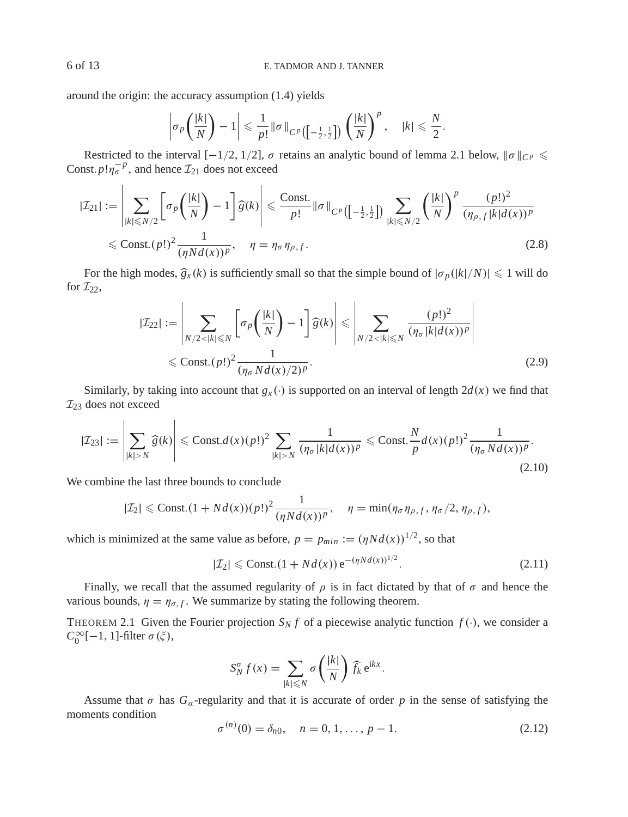around the origin: the accuracy assumption (1.4) yields

$$
\left|\sigma_p\left(\frac{|k|}{N}\right)-1\right|\leqslant \frac{1}{p!}\|\sigma\|_{C^p\left(\left[-\frac{1}{2},\frac{1}{2}\right]\right)}\left(\frac{|k|}{N}\right)^p,\quad |k|\leqslant \frac{N}{2}.
$$

Restricted to the interval  $[-1/2, 1/2]$ ,  $\sigma$  retains an analytic bound of lemma 2.1 below,  $\|\sigma\|_{C^p} \leq$ Const.  $p! \eta_{\sigma}^{-p}$ , and hence  $\mathcal{I}_{21}$  does not exceed

$$
|\mathcal{I}_{21}| := \left| \sum_{|k| \le N/2} \left[ \sigma_p \left( \frac{|k|}{N} \right) - 1 \right] \widehat{g}(k) \right| \le \frac{\text{Const.}}{p!} \|\sigma\|_{C^p \left( \left[ -\frac{1}{2}, \frac{1}{2} \right] \right)} \sum_{|k| \le N/2} \left( \frac{|k|}{N} \right)^p \frac{(p!)^2}{(\eta_{\rho, f}|k|d(x))^p}
$$
  

$$
\le \text{Const.}(p!)^2 \frac{1}{(\eta N d(x))^p}, \quad \eta = \eta_{\sigma} \eta_{\rho, f}.
$$
 (2.8)

For the high modes,  $\hat{g}_x(k)$  is sufficiently small so that the simple bound of  $|\sigma_p(|k|/N)| \leq 1$  will do for  $\mathcal{I}_{22}$ ,

$$
|\mathcal{I}_{22}| := \left| \sum_{N/2 < |k| \le N} \left[ \sigma_p \left( \frac{|k|}{N} \right) - 1 \right] \widehat{g}(k) \right| \le \left| \sum_{N/2 < |k| \le N} \frac{(p!)^2}{(\eta_\sigma |k| d(x))^p} \right| \le \text{Const.}(p!)^2 \frac{1}{(\eta_\sigma |k| d(x))^p} \right| \tag{2.9}
$$

 $\overline{1}$ 

Similarly, by taking into account that  $g_x(\cdot)$  is supported on an interval of length  $2d(x)$  we find that  $\mathcal{I}_{23}$  does not exceed

$$
|\mathcal{I}_{23}| := \left|\sum_{|k|>N} \widehat{g}(k)\right| \leqslant \text{Const.} d(x)(p!)^2 \sum_{|k|>N} \frac{1}{(\eta_{\sigma}|k|d(x))^p} \leqslant \text{Const.} \frac{N}{p} d(x)(p!)^2 \frac{1}{(\eta_{\sigma} N d(x))^p}.
$$
\n(2.10)

We combine the last three bounds to conclude

$$
|\mathcal{I}_2| \leqslant \text{Const.}(1 + Nd(x))(p!)^2 \frac{1}{(\eta Nd(x))^p}, \quad \eta = \min(\eta_\sigma \eta_{\rho, f}, \eta_\sigma/2, \eta_{\rho, f}),
$$

which is minimized at the same value as before,  $p = p_{min} := (\eta N d(x))^{1/2}$ , so that

$$
|\mathcal{I}_2| \leq \text{Const.}(1 + Nd(x)) e^{-(\eta Nd(x))^{1/2}}.
$$
 (2.11)

Finally, we recall that the assumed regularity of  $\rho$  is in fact dictated by that of  $\sigma$  and hence the various bounds,  $\eta = \eta_{\sigma,f}$ . We summarize by stating the following theorem.

THEOREM 2.1 Given the Fourier projection  $S_N f$  of a piecewise analytic function  $f(\cdot)$ , we consider a  $C_0^{\infty}[-1, 1]$ -filter  $\sigma(\xi)$ ,

$$
S_N^{\sigma} f(x) = \sum_{|k| \leq N} \sigma\left(\frac{|k|}{N}\right) \widehat{f}_k \,\mathrm{e}^{\mathrm{i}kx}.
$$

Assume that  $\sigma$  has  $G_{\alpha}$ -regularity and that it is accurate of order p in the sense of satisfying the moments condition

$$
\sigma^{(n)}(0) = \delta_{n0}, \quad n = 0, 1, \dots, p - 1. \tag{2.12}
$$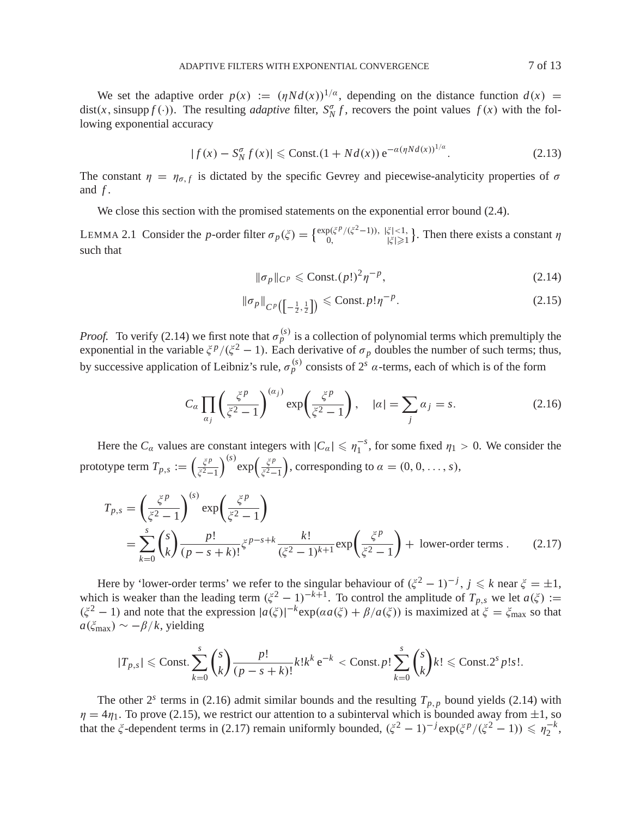We set the adaptive order  $p(x) := (nNd(x))^{1/a}$ , depending on the distance function  $d(x) =$ dist(*x*, sinsupp  $f(.)$ ). The resulting *adaptive* filter,  $S_N^{\sigma} f$ , recovers the point values  $f(x)$  with the following exponential accuracy

$$
|f(x) - S_N^{\sigma} f(x)| \leqslant \text{Const.}(1 + Nd(x)) e^{-a(\eta N d(x))^{1/a}}.
$$
 (2.13)

The constant  $\eta = \eta_{\sigma,f}$  is dictated by the specific Gevrey and piecewise-analyticity properties of  $\sigma$ and *f* .

We close this section with the promised statements on the exponential error bound (2.4).

LEMMA 2.1 Consider the *p*-order filter  $\sigma_p(\xi) = \begin{cases} \exp(\xi^p/(\xi^2-1)), & |\xi| < 1, \\ 0, & |\xi| \ge 1 \end{cases}$ . Then there exists a constant  $\eta$ such that

$$
\|\sigma_p\|_{C^p} \leqslant \text{Const.}(p!)^2 \eta^{-p},\tag{2.14}
$$

$$
\|\sigma_p\|_{C^p\left(\left[-\frac{1}{2},\frac{1}{2}\right]\right)} \leqslant \text{Const. } p! \eta^{-p}.
$$
\n(2.15)

*Proof.* To verify (2.14) we first note that  $\sigma_p^{(s)}$  is a collection of polynomial terms which premultiply the exponential in the variable  $\zeta^p/(\zeta^2 - 1)$ . Each derivative of  $\sigma_p$  doubles the number of such terms; thus, by successive application of Leibniz's rule,  $\sigma_p^{(s)}$  consists of  $2^s$   $\alpha$ -terms, each of which is of the form

$$
C_{\alpha} \prod_{\alpha_j} \left( \frac{\xi^p}{\xi^2 - 1} \right)^{(\alpha_j)} \exp\left( \frac{\xi^p}{\xi^2 - 1} \right), \quad |\alpha| = \sum_j \alpha_j = s. \tag{2.16}
$$

Here the  $C_\alpha$  values are constant integers with  $|C_\alpha| \leq \eta_1^{-s}$ , for some fixed  $\eta_1 > 0$ . We consider the prototype term  $T_{p,s} := \left(\frac{\xi^p}{\xi^2 - 1}\right)$  $\xi^2-1$  $\int^{(s)} \exp\left(\frac{\xi^p}{\xi^2-1}\right)$ ), corresponding to  $\alpha = (0, 0, \ldots, s)$ ,

$$
T_{p,s} = \left(\frac{\xi^p}{\xi^2 - 1}\right)^{(s)} \exp\left(\frac{\xi^p}{\xi^2 - 1}\right)
$$
  
= 
$$
\sum_{k=0}^{s} {s \choose k} \frac{p!}{(p - s + k)!} \xi^{p - s + k} \frac{k!}{(\xi^2 - 1)^{k+1}} \exp\left(\frac{\xi^p}{\xi^2 - 1}\right) + \text{ lower-order terms}. \tag{2.17}
$$

Here by 'lower-order terms' we refer to the singular behaviour of  $(\xi^2 - 1)^{-j}$ ,  $j \le k$  near  $\xi = \pm 1$ , which is weaker than the leading term  $(\xi^2 - 1)^{-k+1}$ . To control the amplitude of  $T_{p,s}$  we let  $a(\xi) :=$  $(\xi^2 - 1)$  and note that the expression  $|a(\xi)|^{-k} \exp(a a(\xi) + \beta/a(\xi))$  is maximized at  $\xi = \xi_{\text{max}}$  so that  $a(\xi_{\text{max}}) \sim -\beta/k$ , yielding

$$
|T_{p,s}| \leqslant \text{Const.} \sum_{k=0}^s {s \choose k} \frac{p!}{(p-s+k)!} k! k^k e^{-k} < \text{Const.} p! \sum_{k=0}^s {s \choose k} k! \leqslant \text{Const.} 2^s p! s!.
$$

The other  $2^s$  terms in (2.16) admit similar bounds and the resulting  $T_{p,p}$  bound yields (2.14) with  $\eta = 4\eta_1$ . To prove (2.15), we restrict our attention to a subinterval which is bounded away from  $\pm 1$ , so that the  $\zeta$ -dependent terms in (2.17) remain uniformly bounded,  $(\zeta^2 - 1)^{-j} \exp(\zeta^p/(\zeta^2 - 1)) \le \eta_2^{-k}$ ,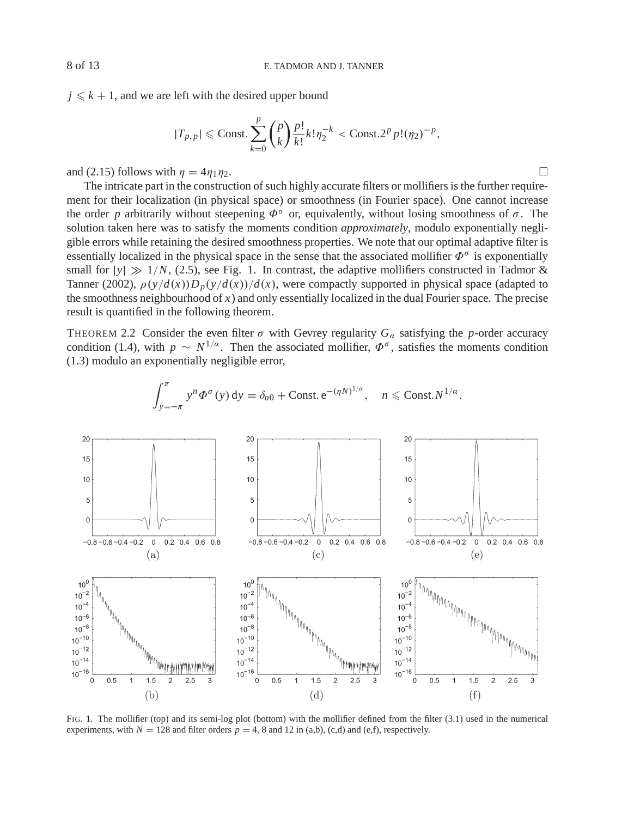$j \leq k + 1$ , and we are left with the desired upper bound

$$
|T_{p,p}| \leq \text{Const.} \sum_{k=0}^{p} {p \choose k} \frac{p!}{k!} k! \eta_2^{-k} < \text{Const.} 2^p p! (\eta_2)^{-p},
$$

and (2.15) follows with  $\eta = 4\eta_1\eta_2$ .

The intricate part in the construction of such highly accurate filters or mollifiers is the further requirement for their localization (in physical space) or smoothness (in Fourier space). One cannot increase the order *p* arbitrarily without steepening  $\Phi^{\sigma}$  or, equivalently, without losing smoothness of  $\sigma$ . The solution taken here was to satisfy the moments condition *approximately*, modulo exponentially negligible errors while retaining the desired smoothness properties. We note that our optimal adaptive filter is essentially localized in the physical space in the sense that the associated mollifier  $\Phi^{\sigma}$  is exponentially small for  $|y| \gg 1/N$ , (2.5), see Fig. 1. In contrast, the adaptive mollifiers constructed in Tadmor & Tanner (2002),  $\rho(y/d(x))D_p(y/d(x))/d(x)$ , were compactly supported in physical space (adapted to the smoothness neighbourhood of  $x$ ) and only essentially localized in the dual Fourier space. The precise result is quantified in the following theorem.

THEOREM 2.2 Consider the even filter  $\sigma$  with Gevrey regularity  $G_\alpha$  satisfying the *p*-order accuracy condition (1.4), with  $p \sim N^{1/a}$ . Then the associated mollifier,  $\Phi^{\sigma}$ , satisfies the moments condition (1.3) modulo an exponentially negligible error,



$$
\int_{y=-\pi}^{\pi} y^n \Phi^{\sigma}(y) dy = \delta_{n0} + \text{Const.} e^{-(\eta N)^{1/a}}, \quad n \leqslant \text{Const.} N^{1/a}.
$$

FIG. 1. The mollifier (top) and its semi-log plot (bottom) with the mollifier defined from the filter (3.1) used in the numerical experiments, with  $N = 128$  and filter orders  $p = 4$ , 8 and 12 in (a,b), (c,d) and (e,f), respectively.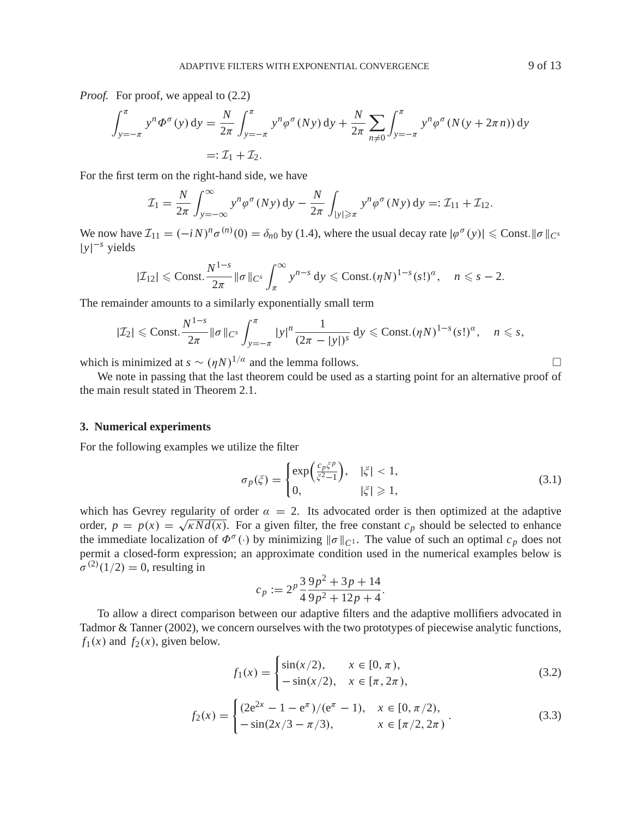*Proof.* For proof, we appeal to  $(2.2)$ 

$$
\int_{y=-\pi}^{\pi} y^n \Phi^{\sigma}(y) dy = \frac{N}{2\pi} \int_{y=-\pi}^{\pi} y^n \phi^{\sigma}(Ny) dy + \frac{N}{2\pi} \sum_{n \neq 0} \int_{y=-\pi}^{\pi} y^n \phi^{\sigma}(N(y + 2\pi n)) dy
$$
  
=:  $\mathcal{I}_1 + \mathcal{I}_2$ .

For the first term on the right-hand side, we have

$$
\mathcal{I}_1 = \frac{N}{2\pi} \int_{y=-\infty}^{\infty} y^n \varphi^{\sigma}(Ny) dy - \frac{N}{2\pi} \int_{|y| \geqslant \pi} y^n \varphi^{\sigma}(Ny) dy =: \mathcal{I}_{11} + \mathcal{I}_{12}.
$$

We now have  $\mathcal{I}_{11} = (-iN)^n \sigma^{(n)}(0) = \delta_{n0}$  by (1.4), where the usual decay rate  $|\varphi^{\sigma}(y)| \leq C$ onst. $||\sigma||_{C^s}$ |*y*| <sup>−</sup>*<sup>s</sup>* yields

$$
|\mathcal{I}_{12}| \leqslant \text{Const.} \frac{N^{1-s}}{2\pi} \|\sigma\|_{C^s} \int_{\pi}^{\infty} y^{n-s} \, \mathrm{d}y \leqslant \text{Const.}(\eta N)^{1-s} (s!)^{\alpha}, \quad n \leqslant s-2.
$$

The remainder amounts to a similarly exponentially small term

$$
|\mathcal{I}_2| \leqslant \text{Const.} \frac{N^{1-s}}{2\pi} \|\sigma\|_{C^s} \int_{y=-\pi}^{\pi} |y|^n \frac{1}{(2\pi - |y|)^s} \, \mathrm{d}y \leqslant \text{Const.}(\eta N)^{1-s} (s!)^{\alpha}, \quad n \leqslant s,
$$

which is minimized at *s* ∼  $(\eta N)^{1/\alpha}$  and the lemma follows.  $\Box$ 

We note in passing that the last theorem could be used as a starting point for an alternative proof of the main result stated in Theorem 2.1.

# **3. Numerical experiments**

For the following examples we utilize the filter

$$
\sigma_p(\xi) = \begin{cases} \exp\left(\frac{c_p \xi^p}{\xi^2 - 1}\right), & |\xi| < 1, \\ 0, & |\xi| \ge 1, \end{cases}
$$
\n(3.1)

which has Gevrey regularity of order  $\alpha = 2$ . Its advocated order is then optimized at the adaptive order,  $p = p(x) = \sqrt{\kappa N d(x)}$ . For a given filter, the free constant  $c_p$  should be selected to enhance the immediate localization of  $\Phi^{\sigma}(\cdot)$  by minimizing  $\|\sigma\|_{C^1}$ . The value of such an optimal  $c_p$  does not permit a closed-form expression; an approximate condition used in the numerical examples below is  $\sigma^{(2)}(1/2) = 0$ , resulting in

$$
c_p := 2^p \frac{3}{4} \frac{9p^2 + 3p + 14}{9p^2 + 12p + 4}.
$$

To allow a direct comparison between our adaptive filters and the adaptive mollifiers advocated in Tadmor & Tanner (2002), we concern ourselves with the two prototypes of piecewise analytic functions,  $f_1(x)$  and  $f_2(x)$ , given below.

$$
f_1(x) = \begin{cases} \sin(x/2), & x \in [0, \pi), \\ -\sin(x/2), & x \in [\pi, 2\pi), \end{cases}
$$
 (3.2)

$$
f_2(x) = \begin{cases} (2e^{2x} - 1 - e^{\pi})/(e^{\pi} - 1), & x \in [0, \pi/2), \\ -\sin(2x/3 - \pi/3), & x \in [\pi/2, 2\pi) \end{cases}
$$
(3.3)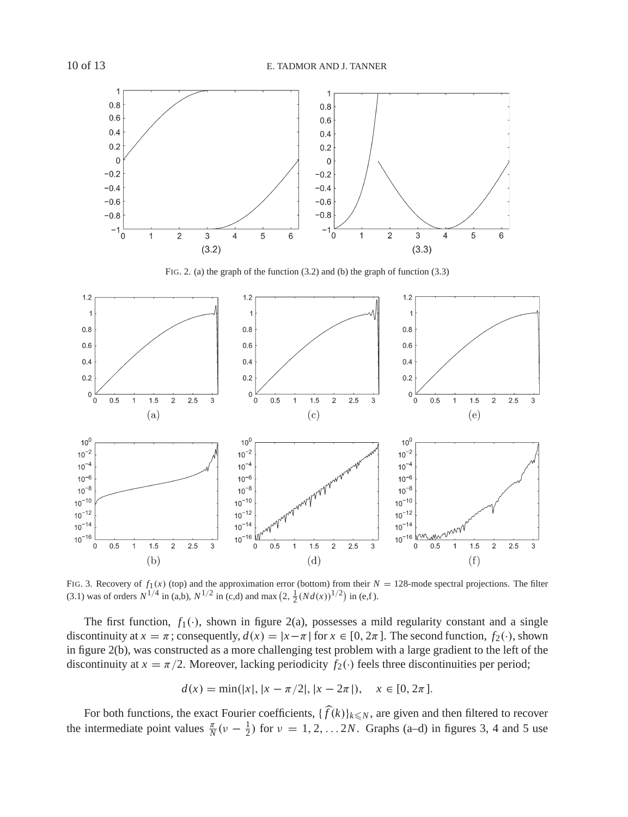

FIG. 2. (a) the graph of the function (3.2) and (b) the graph of function (3.3)



FIG. 3. Recovery of  $f_1(x)$  (top) and the approximation error (bottom) from their  $N = 128$ -mode spectral projections. The filter (3.1) was of orders  $N^{1/4}$  in (a,b),  $N^{1/2}$  in (c,d) and max  $(2, \frac{1}{2}(Nd(x))^{1/2})$  in (e,f).

The first function,  $f_1(\cdot)$ , shown in figure 2(a), possesses a mild regularity constant and a single discontinuity at  $x = \pi$ ; consequently,  $d(x) = |x - \pi|$  for  $x \in [0, 2\pi]$ . The second function,  $f_2(\cdot)$ , shown in figure 2(b), was constructed as a more challenging test problem with a large gradient to the left of the discontinuity at  $x = \pi/2$ . Moreover, lacking periodicity  $f_2(\cdot)$  feels three discontinuities per period;

$$
d(x) = \min(|x|, |x - \pi/2|, |x - 2\pi|), \quad x \in [0, 2\pi].
$$

For both functions, the exact Fourier coefficients,  $\{\widehat{f}(k)\}_{k\leq N}$ , are given and then filtered to recover the intermediate point values  $\frac{\pi}{N}(v - \frac{1}{2})$  for  $v = 1, 2, ... 2N$ . Graphs (a–d) in figures 3, 4 and 5 use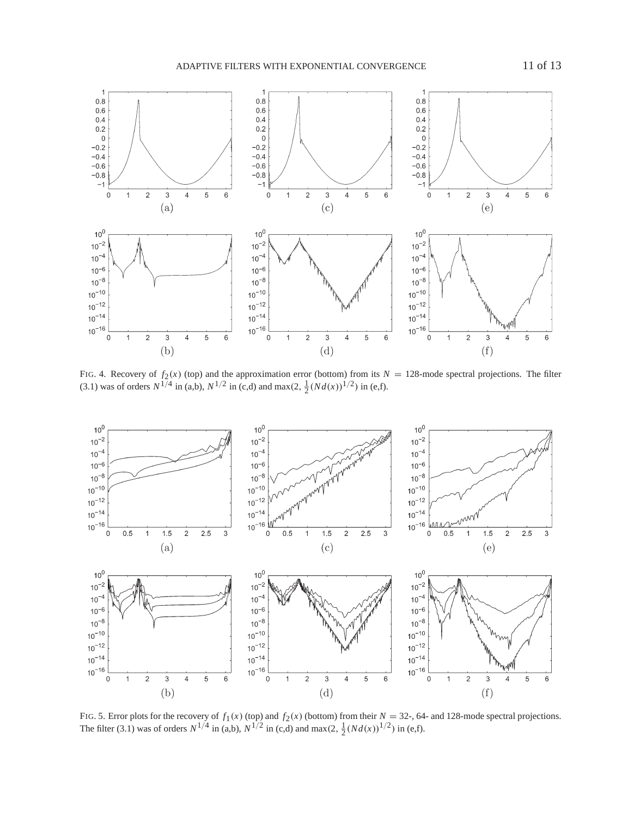ADAPTIVE FILTERS WITH EXPONENTIAL CONVERGENCE 11 of 13



FIG. 4. Recovery of  $f_2(x)$  (top) and the approximation error (bottom) from its  $N = 128$ -mode spectral projections. The filter (3.1) was of orders  $N^{1/4}$  in (a,b),  $N^{1/2}$  in (c,d) and max(2,  $\frac{1}{2}(Nd(x))^{1/2}$ ) in (e,f).



FIG. 5. Error plots for the recovery of  $f_1(x)$  (top) and  $f_2(x)$  (bottom) from their  $N = 32$ -, 64- and 128-mode spectral projections. The filter (3.1) was of orders  $N^{1/4}$  in (a,b),  $N^{1/2}$  in (c,d) and max(2,  $\frac{1}{2}(Nd(x))^{1/2}$ ) in (e,f).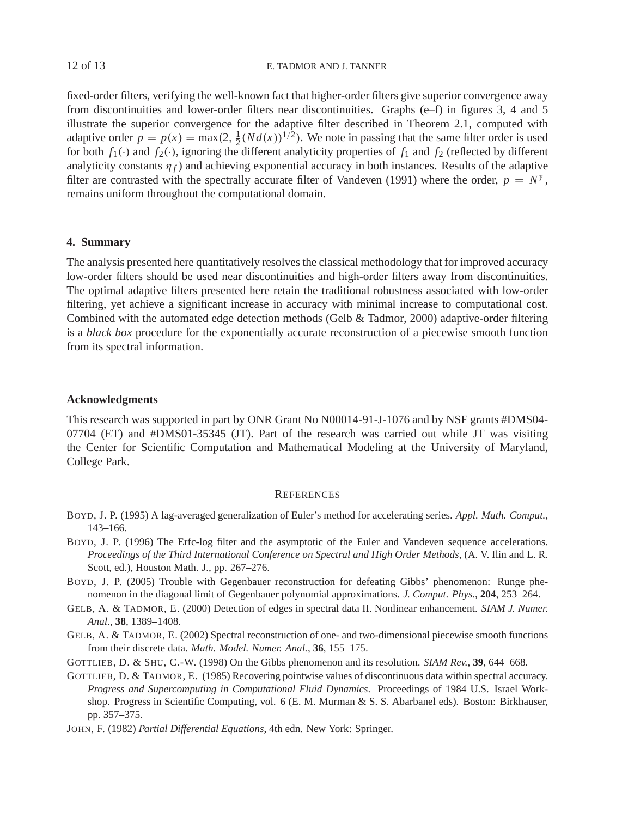fixed-order filters, verifying the well-known fact that higher-order filters give superior convergence away from discontinuities and lower-order filters near discontinuities. Graphs (e–f) in figures 3, 4 and 5 illustrate the superior convergence for the adaptive filter described in Theorem 2.1, computed with adaptive order  $p = p(x) = \max(2, \frac{1}{2}(Nd(x))^{1/2})$ . We note in passing that the same filter order is used for both  $f_1(\cdot)$  and  $f_2(\cdot)$ , ignoring the different analyticity properties of  $f_1$  and  $f_2$  (reflected by different analyticity constants  $\eta_f$  and achieving exponential accuracy in both instances. Results of the adaptive filter are contrasted with the spectrally accurate filter of Vandeven (1991) where the order,  $p = N^{\gamma}$ , remains uniform throughout the computational domain.

## **4. Summary**

The analysis presented here quantitatively resolves the classical methodology that for improved accuracy low-order filters should be used near discontinuities and high-order filters away from discontinuities. The optimal adaptive filters presented here retain the traditional robustness associated with low-order filtering, yet achieve a significant increase in accuracy with minimal increase to computational cost. Combined with the automated edge detection methods (Gelb & Tadmor, 2000) adaptive-order filtering is a *black box* procedure for the exponentially accurate reconstruction of a piecewise smooth function from its spectral information.

## **Acknowledgments**

This research was supported in part by ONR Grant No N00014-91-J-1076 and by NSF grants #DMS04- 07704 (ET) and #DMS01-35345 (JT). Part of the research was carried out while JT was visiting the Center for Scientific Computation and Mathematical Modeling at the University of Maryland, College Park.

#### **REFERENCES**

- BOYD, J. P. (1995) A lag-averaged generalization of Euler's method for accelerating series. *Appl. Math. Comput.*, 143–166.
- BOYD, J. P. (1996) The Erfc-log filter and the asymptotic of the Euler and Vandeven sequence accelerations. *Proceedings of the Third International Conference on Spectral and High Order Methods*, (A. V. Ilin and L. R. Scott, ed.), Houston Math. J., pp. 267–276.
- BOYD, J. P. (2005) Trouble with Gegenbauer reconstruction for defeating Gibbs' phenomenon: Runge phenomenon in the diagonal limit of Gegenbauer polynomial approximations. *J. Comput. Phys.*, **204**, 253–264.
- GELB, A. & TADMOR, E. (2000) Detection of edges in spectral data II. Nonlinear enhancement. *SIAM J. Numer. Anal.*, **38**, 1389–1408.
- GELB, A. & TADMOR, E. (2002) Spectral reconstruction of one- and two-dimensional piecewise smooth functions from their discrete data. *Math. Model. Numer. Anal.*, **36**, 155–175.

GOTTLIEB, D. & SHU, C.-W. (1998) On the Gibbs phenomenon and its resolution. *SIAM Rev.*, **39**, 644–668.

GOTTLIEB, D. & TADMOR, E. (1985) Recovering pointwise values of discontinuous data within spectral accuracy. *Progress and Supercomputing in Computational Fluid Dynamics*. Proceedings of 1984 U.S.–Israel Workshop. Progress in Scientific Computing, vol. 6 (E. M. Murman & S. S. Abarbanel eds). Boston: Birkhauser, pp. 357–375.

JOHN, F. (1982) *Partial Differential Equations*, 4th edn. New York: Springer.